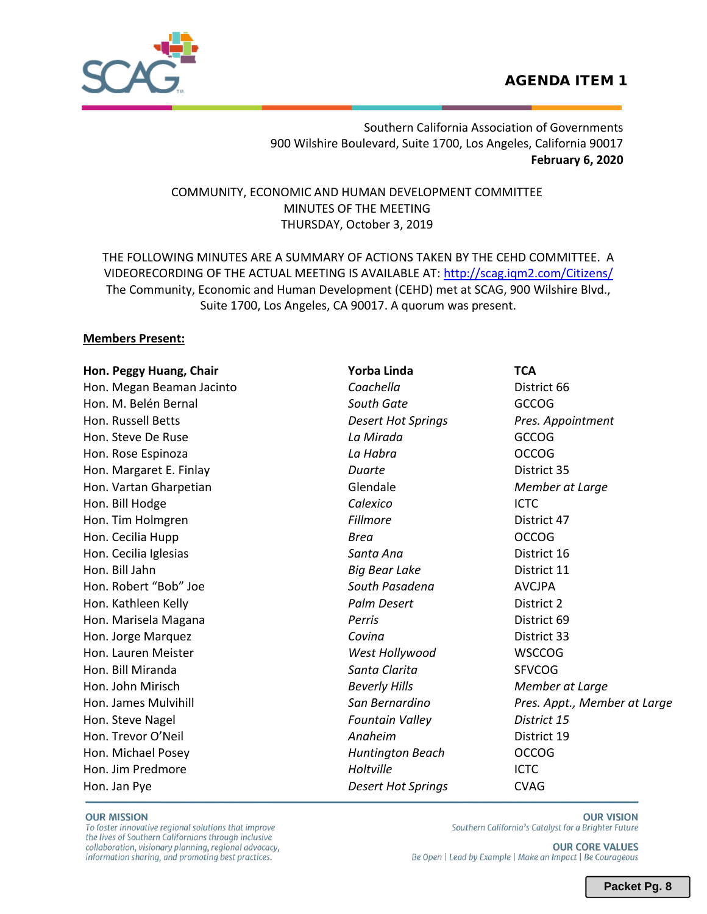# AGENDA ITEM 1



Southern California Association of Governments 900 Wilshire Boulevard, Suite 1700, Los Angeles, California 90017 **February 6, 2020** 

COMMUNITY, ECONOMIC AND HUMAN DEVELOPMENT COMMITTEE MINUTES OF THE MEETING THURSDAY, October 3, 2019

THE FOLLOWING MINUTES ARE A SUMMARY OF ACTIONS TAKEN BY THE CEHD COMMITTEE. A VIDEORECORDING OF THE ACTUAL MEETING IS AVAILABLE AT:<http://scag.iqm2.com/Citizens/> The Community, Economic and Human Development (CEHD) met at SCAG, 900 Wilshire Blvd., Suite 1700, Los Angeles, CA 90017. A quorum was present.

## **Members Present:**

| Hon. Peggy Huang, Chair   | Yorba Linda               | <b>TCA</b>                   |
|---------------------------|---------------------------|------------------------------|
| Hon. Megan Beaman Jacinto | Coachella                 | District 66                  |
| Hon. M. Belén Bernal      | South Gate                | <b>GCCOG</b>                 |
| Hon. Russell Betts        | <b>Desert Hot Springs</b> | Pres. Appointment            |
| Hon. Steve De Ruse        | La Mirada                 | <b>GCCOG</b>                 |
| Hon. Rose Espinoza        | La Habra                  | <b>OCCOG</b>                 |
| Hon. Margaret E. Finlay   | Duarte                    | District 35                  |
| Hon. Vartan Gharpetian    | Glendale                  | Member at Large              |
| Hon. Bill Hodge           | Calexico                  | <b>ICTC</b>                  |
| Hon. Tim Holmgren         | Fillmore                  | District 47                  |
| Hon. Cecilia Hupp         | <b>Brea</b>               | <b>OCCOG</b>                 |
| Hon. Cecilia Iglesias     | Santa Ana                 | District 16                  |
| Hon. Bill Jahn            | <b>Big Bear Lake</b>      | District 11                  |
| Hon. Robert "Bob" Joe     | South Pasadena            | <b>AVCJPA</b>                |
| Hon. Kathleen Kelly       | Palm Desert               | District 2                   |
| Hon. Marisela Magana      | Perris                    | District 69                  |
| Hon. Jorge Marquez        | Covina                    | District 33                  |
| Hon. Lauren Meister       | West Hollywood            | <b>WSCCOG</b>                |
| Hon. Bill Miranda         | Santa Clarita             | <b>SFVCOG</b>                |
| Hon. John Mirisch         | <b>Beverly Hills</b>      | Member at Large              |
| Hon. James Mulvihill      | San Bernardino            | Pres. Appt., Member at Large |
| Hon. Steve Nagel          | <b>Fountain Valley</b>    | District 15                  |
| Hon. Trevor O'Neil        | Anaheim                   | District 19                  |
| Hon. Michael Posey        | <b>Huntington Beach</b>   | <b>OCCOG</b>                 |
| Hon. Jim Predmore         | Holtville                 | <b>ICTC</b>                  |
| Hon. Jan Pye              | <b>Desert Hot Springs</b> | <b>CVAG</b>                  |

**OUR MISSION** 

To foster innovative regional solutions that improve the lives of Southern Californians through inclusive collaboration, visionary planning, regional advocacy, information sharing, and promoting best practices.

**OUR VISION** Southern California's Catalyst for a Brighter Future

**OUR CORE VALUES** Be Open | Lead by Example | Make an Impact | Be Courageous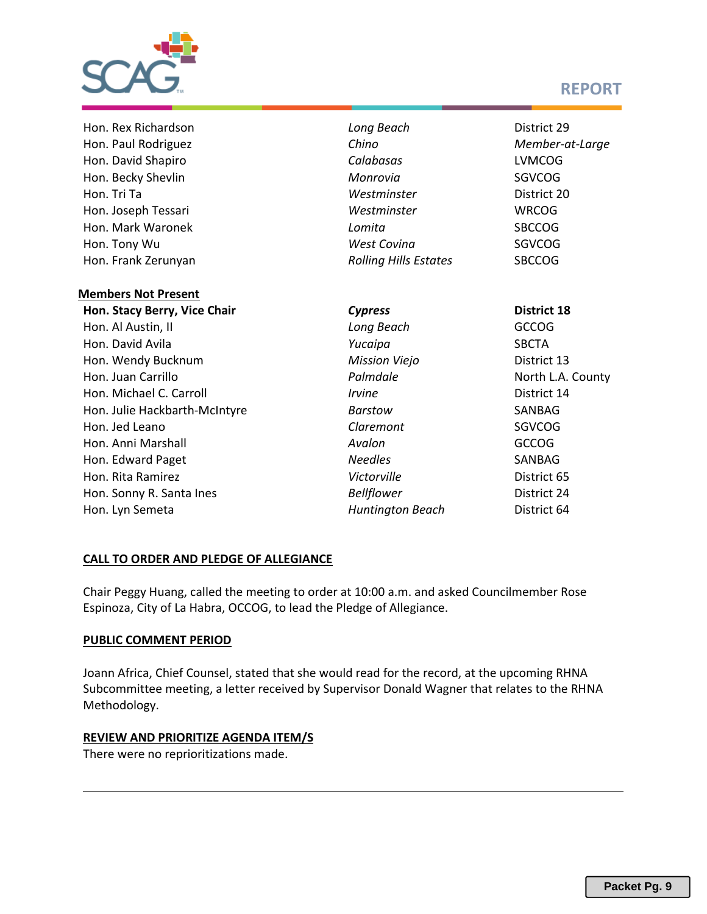

# **REPORT**

| Hon. Rex Richardson           | Long Beach                   | District 29        |
|-------------------------------|------------------------------|--------------------|
| Hon. Paul Rodriguez           | Chino                        | Member-at-Large    |
| Hon. David Shapiro            | Calabasas                    | <b>LVMCOG</b>      |
| Hon. Becky Shevlin            | Monrovia                     | <b>SGVCOG</b>      |
| Hon. Tri Ta                   | Westminster                  | District 20        |
| Hon. Joseph Tessari           | Westminster                  | <b>WRCOG</b>       |
| Hon. Mark Waronek             | Lomita                       | <b>SBCCOG</b>      |
| Hon. Tony Wu                  | <b>West Covina</b>           | <b>SGVCOG</b>      |
| Hon. Frank Zerunyan           | <b>Rolling Hills Estates</b> | <b>SBCCOG</b>      |
| <b>Members Not Present</b>    |                              |                    |
| Hon. Stacy Berry, Vice Chair  | <b>Cypress</b>               | <b>District 18</b> |
| Hon. Al Austin, II            | Long Beach                   | <b>GCCOG</b>       |
| Hon. David Avila              | Yucaipa                      | <b>SBCTA</b>       |
| Hon. Wendy Bucknum            | <b>Mission Viejo</b>         | District 13        |
| Hon. Juan Carrillo            | Palmdale                     | North L.A. County  |
| Hon. Michael C. Carroll       | <i><u><b>Irvine</b></u></i>  | District 14        |
| Hon. Julie Hackbarth-McIntyre | Barstow                      | SANBAG             |
| Hon. Jed Leano                | Claremont                    | <b>SGVCOG</b>      |
| Hon. Anni Marshall            | Avalon                       | <b>GCCOG</b>       |
| Hon. Edward Paget             | <b>Needles</b>               | SANBAG             |
| Hon. Rita Ramirez             | Victorville                  | District 65        |
| Hon. Sonny R. Santa Ines      | <b>Bellflower</b>            | District 24        |
| Hon. Lyn Semeta               | <b>Huntington Beach</b>      | District 64        |

## **CALL TO ORDER AND PLEDGE OF ALLEGIANCE**

Chair Peggy Huang, called the meeting to order at 10:00 a.m. and asked Councilmember Rose Espinoza, City of La Habra, OCCOG, to lead the Pledge of Allegiance.

## **PUBLIC COMMENT PERIOD**

Joann Africa, Chief Counsel, stated that she would read for the record, at the upcoming RHNA Subcommittee meeting, a letter received by Supervisor Donald Wagner that relates to the RHNA Methodology.

## **REVIEW AND PRIORITIZE AGENDA ITEM/S**

There were no reprioritizations made.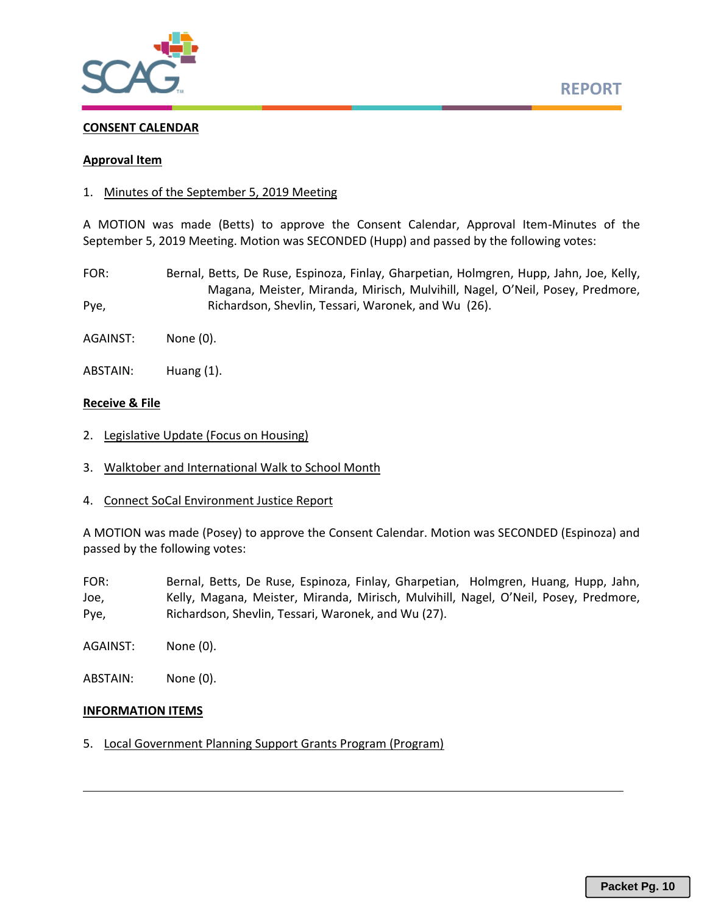

#### **CONSENT CALENDAR**

#### **Approval Item**

1. Minutes of the September 5, 2019 Meeting

A MOTION was made (Betts) to approve the Consent Calendar, Approval Item-Minutes of the September 5, 2019 Meeting. Motion was SECONDED (Hupp) and passed by the following votes:

- FOR: Bernal, Betts, De Ruse, Espinoza, Finlay, Gharpetian, Holmgren, Hupp, Jahn, Joe, Kelly, Magana, Meister, Miranda, Mirisch, Mulvihill, Nagel, O'Neil, Posey, Predmore, Pye, Richardson, Shevlin, Tessari, Waronek, and Wu (26).
- AGAINST: None (0).
- ABSTAIN: Huang (1).

#### **Receive & File**

- 2. Legislative Update (Focus on Housing)
- 3. Walktober and International Walk to School Month
- 4. Connect SoCal Environment Justice Report

A MOTION was made (Posey) to approve the Consent Calendar. Motion was SECONDED (Espinoza) and passed by the following votes:

- FOR: Bernal, Betts, De Ruse, Espinoza, Finlay, Gharpetian, Holmgren, Huang, Hupp, Jahn, Joe, Kelly, Magana, Meister, Miranda, Mirisch, Mulvihill, Nagel, O'Neil, Posey, Predmore, Pye, Richardson, Shevlin, Tessari, Waronek, and Wu (27).
- AGAINST: None (0).
- ABSTAIN: None (0).

#### **INFORMATION ITEMS**

5. Local Government Planning Support Grants Program (Program)

**REPORT**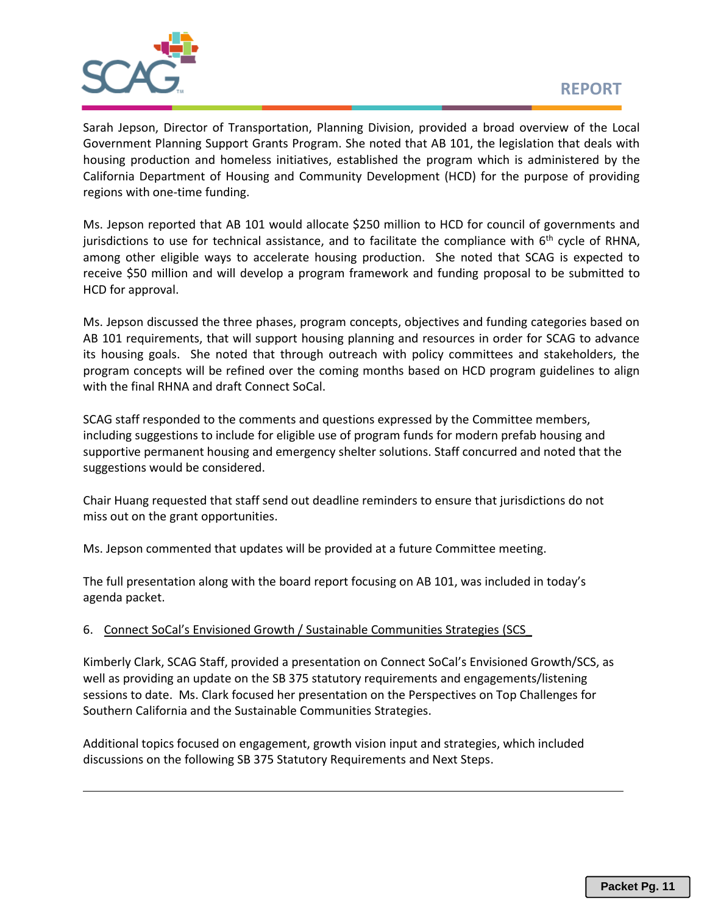

Sarah Jepson, Director of Transportation, Planning Division, provided a broad overview of the Local Government Planning Support Grants Program. She noted that AB 101, the legislation that deals with housing production and homeless initiatives, established the program which is administered by the California Department of Housing and Community Development (HCD) for the purpose of providing regions with one-time funding.

Ms. Jepson reported that AB 101 would allocate \$250 million to HCD for council of governments and jurisdictions to use for technical assistance, and to facilitate the compliance with  $6<sup>th</sup>$  cycle of RHNA, among other eligible ways to accelerate housing production. She noted that SCAG is expected to receive \$50 million and will develop a program framework and funding proposal to be submitted to HCD for approval.

Ms. Jepson discussed the three phases, program concepts, objectives and funding categories based on AB 101 requirements, that will support housing planning and resources in order for SCAG to advance its housing goals. She noted that through outreach with policy committees and stakeholders, the program concepts will be refined over the coming months based on HCD program guidelines to align with the final RHNA and draft Connect SoCal.

SCAG staff responded to the comments and questions expressed by the Committee members, including suggestions to include for eligible use of program funds for modern prefab housing and supportive permanent housing and emergency shelter solutions. Staff concurred and noted that the suggestions would be considered.

Chair Huang requested that staff send out deadline reminders to ensure that jurisdictions do not miss out on the grant opportunities.

Ms. Jepson commented that updates will be provided at a future Committee meeting.

The full presentation along with the board report focusing on AB 101, was included in today's agenda packet.

# 6. Connect SoCal's Envisioned Growth / Sustainable Communities Strategies (SCS\_

Kimberly Clark, SCAG Staff, provided a presentation on Connect SoCal's Envisioned Growth/SCS, as well as providing an update on the SB 375 statutory requirements and engagements/listening sessions to date. Ms. Clark focused her presentation on the Perspectives on Top Challenges for Southern California and the Sustainable Communities Strategies.

Additional topics focused on engagement, growth vision input and strategies, which included discussions on the following SB 375 Statutory Requirements and Next Steps.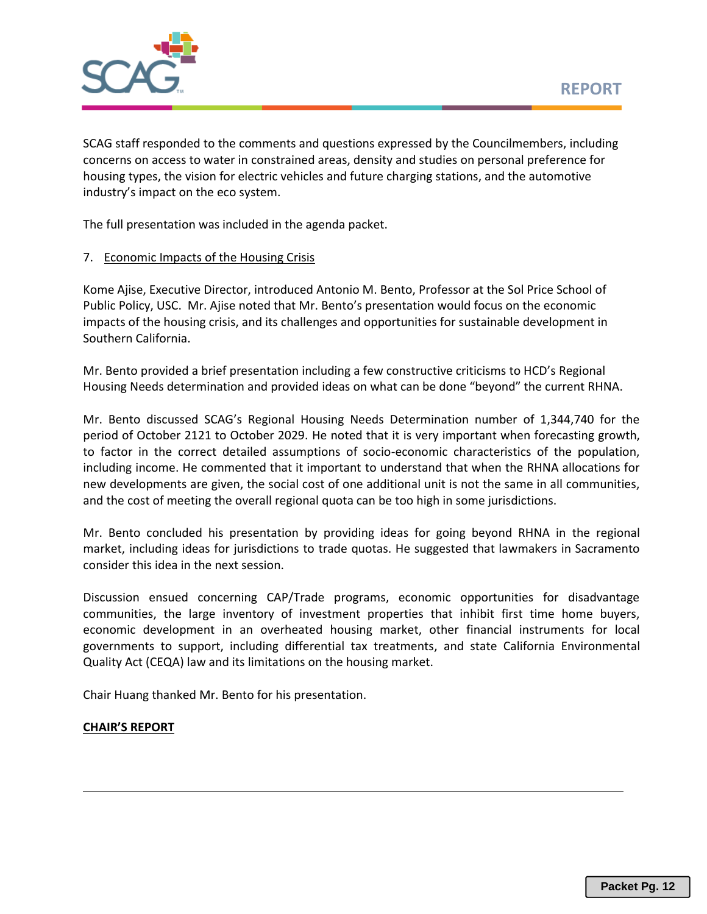

SCAG staff responded to the comments and questions expressed by the Councilmembers, including concerns on access to water in constrained areas, density and studies on personal preference for housing types, the vision for electric vehicles and future charging stations, and the automotive industry's impact on the eco system.

The full presentation was included in the agenda packet.

## 7. Economic Impacts of the Housing Crisis

Kome Ajise, Executive Director, introduced Antonio M. Bento, Professor at the Sol Price School of Public Policy, USC. Mr. Ajise noted that Mr. Bento's presentation would focus on the economic impacts of the housing crisis, and its challenges and opportunities for sustainable development in Southern California.

Mr. Bento provided a brief presentation including a few constructive criticisms to HCD's Regional Housing Needs determination and provided ideas on what can be done "beyond" the current RHNA.

Mr. Bento discussed SCAG's Regional Housing Needs Determination number of 1,344,740 for the period of October 2121 to October 2029. He noted that it is very important when forecasting growth, to factor in the correct detailed assumptions of socio-economic characteristics of the population, including income. He commented that it important to understand that when the RHNA allocations for new developments are given, the social cost of one additional unit is not the same in all communities, and the cost of meeting the overall regional quota can be too high in some jurisdictions.

Mr. Bento concluded his presentation by providing ideas for going beyond RHNA in the regional market, including ideas for jurisdictions to trade quotas. He suggested that lawmakers in Sacramento consider this idea in the next session.

Discussion ensued concerning CAP/Trade programs, economic opportunities for disadvantage communities, the large inventory of investment properties that inhibit first time home buyers, economic development in an overheated housing market, other financial instruments for local governments to support, including differential tax treatments, and state California Environmental Quality Act (CEQA) law and its limitations on the housing market.

Chair Huang thanked Mr. Bento for his presentation.

# **CHAIR'S REPORT**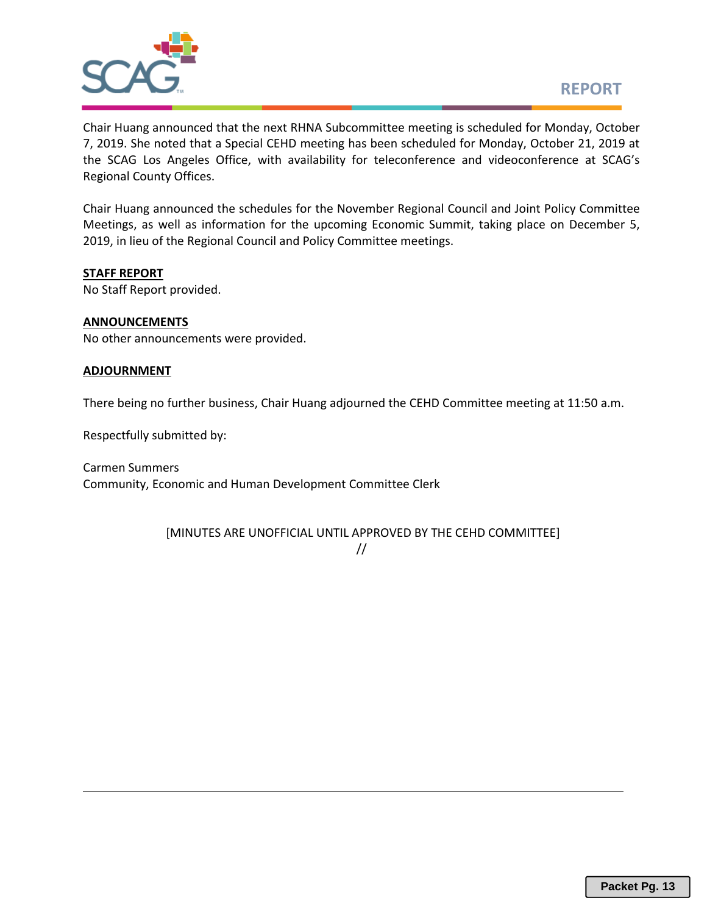

Chair Huang announced that the next RHNA Subcommittee meeting is scheduled for Monday, October 7, 2019. She noted that a Special CEHD meeting has been scheduled for Monday, October 21, 2019 at the SCAG Los Angeles Office, with availability for teleconference and videoconference at SCAG's Regional County Offices.

Chair Huang announced the schedules for the November Regional Council and Joint Policy Committee Meetings, as well as information for the upcoming Economic Summit, taking place on December 5, 2019, in lieu of the Regional Council and Policy Committee meetings.

#### **STAFF REPORT**

No Staff Report provided.

#### **ANNOUNCEMENTS**

No other announcements were provided.

#### **ADJOURNMENT**

There being no further business, Chair Huang adjourned the CEHD Committee meeting at 11:50 a.m.

Respectfully submitted by:

Carmen Summers Community, Economic and Human Development Committee Clerk

[MINUTES ARE UNOFFICIAL UNTIL APPROVED BY THE CEHD COMMITTEE]

//